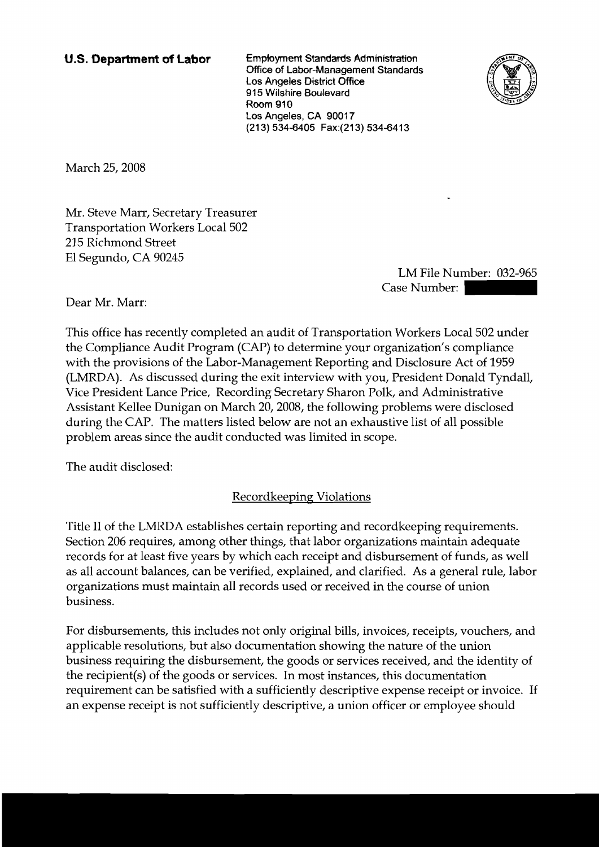**U.S. Department of Labor Employment Standards Administration Office of Labor-Management Standards Los Angeles District Office 915 Wilshire Boulevard Room 910 Los Angeles, CA 90017 (21 3) 534-6405 Fax:(213) 534-641 3** 



March 25,2008

Mr. Steve Marr, Secretary Treasurer Transportation Workers Local 502 215 Richmond Street El Segundo, CA 90245

LM File Number: 032-965 East<br>
1-6413<br>
Case Number: 032-965<br>
Case Number: 032-965<br>
on Workers Local 502 under

Dear Mr. Marr:

This office has recently completed an audit of Transportation Workers Local 502 under the Compliance Audit Program (CAP) to determine your organization's compliance with the provisions of the Labor-Management Reporting and Disclosure Act of 1959 (LMRDA). As discussed during the exit interview with you, President Donald Tyndall, Vice President Lance Price, Recording Secretary Sharon Polk, and Administrative Assistant Kellee Dunigan on March 20,2008, the following problems were disclosed during the CAP. The matters listed below are not an exhaustive list of all possible problem areas since the audit conducted was limited in scope.

The audit disclosed:

Recordkeeping Violations

Title I1 of the LMRDA establishes certain reporting and recordkeeping requirements. Section 206 requires, among other things, that labor organizations maintain adequate records for at least five years by which each receipt and disbursement of funds, as well as all account balances, can be verified, explained, and clarified. As a general rule, labor organizations must maintain all records used or received in the course of union business.

For disbursements, this includes not only original bills, invoices, receipts, vouchers, and applicable resolutions, but also documentation showing the nature of the union business requiring the disbursement, the goods or services received, and the identity of the recipient(s) of the goods or services. In most instances, this documentation requirement can be satisfied with a sufficiently descriptive expense receipt or invoice. If an expense receipt is not sufficiently descriptive, a union officer or employee should